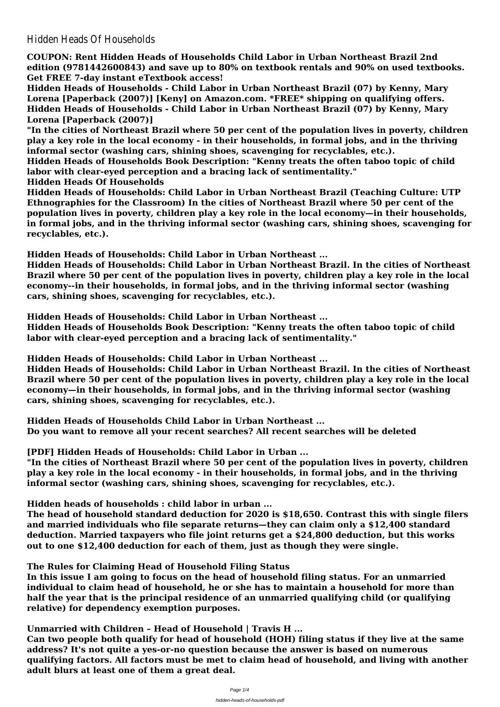Hidden Heads Of Househ

**COUPON: Rent Hidden Heads of Households Child Labor in Urban Northeast Brazil 2nd edition (9781442600843) and save up to 80% on textbook rentals and 90% on used textbooks. Get FREE 7-day instant eTextbook access!**

**Hidden Heads of Households - Child Labor in Urban Northeast Brazil (07) by Kenny, Mary Lorena [Paperback (2007)] [Keny] on Amazon.com. \*FREE\* shipping on qualifying offers. Hidden Heads of Households - Child Labor in Urban Northeast Brazil (07) by Kenny, Mary Lorena [Paperback (2007)]**

**"In the cities of Northeast Brazil where 50 per cent of the population lives in poverty, children play a key role in the local economy - in their households, in formal jobs, and in the thriving informal sector (washing cars, shining shoes, scavenging for recyclables, etc.).**

**Hidden Heads of Households Book Description: "Kenny treats the often taboo topic of child labor with clear-eyed perception and a bracing lack of sentimentality."**

**Hidden Heads Of Households**

**Hidden Heads of Households: Child Labor in Urban Northeast Brazil (Teaching Culture: UTP Ethnographies for the Classroom) In the cities of Northeast Brazil where 50 per cent of the population lives in poverty, children play a key role in the local economy—in their households, in formal jobs, and in the thriving informal sector (washing cars, shining shoes, scavenging for recyclables, etc.).**

**Hidden Heads of Households: Child Labor in Urban Northeast ...**

**Hidden Heads of Households: Child Labor in Urban Northeast Brazil. In the cities of Northeast Brazil where 50 per cent of the population lives in poverty, children play a key role in the local economy--in their households, in formal jobs, and in the thriving informal sector (washing cars, shining shoes, scavenging for recyclables, etc.).**

**Hidden Heads of Households: Child Labor in Urban Northeast ...**

**Hidden Heads of Households Book Description: "Kenny treats the often taboo topic of child labor with clear-eyed perception and a bracing lack of sentimentality."**

**Hidden Heads of Households: Child Labor in Urban Northeast ...**

**Hidden Heads of Households: Child Labor in Urban Northeast Brazil. In the cities of Northeast Brazil where 50 per cent of the population lives in poverty, children play a key role in the local economy—in their households, in formal jobs, and in the thriving informal sector (washing cars, shining shoes, scavenging for recyclables, etc.).**

**Hidden Heads of Households Child Labor in Urban Northeast ... Do you want to remove all your recent searches? All recent searches will be deleted**

**[PDF] Hidden Heads of Households: Child Labor in Urban ...**

**"In the cities of Northeast Brazil where 50 per cent of the population lives in poverty, children play a key role in the local economy - in their households, in formal jobs, and in the thriving informal sector (washing cars, shining shoes, scavenging for recyclables, etc.).**

**Hidden heads of households : child labor in urban ...**

**The head of household standard deduction for 2020 is \$18,650. Contrast this with single filers and married individuals who file separate returns—they can claim only a \$12,400 standard deduction. Married taxpayers who file joint returns get a \$24,800 deduction, but this works out to one \$12,400 deduction for each of them, just as though they were single.**

# **The Rules for Claiming Head of Household Filing Status**

**In this issue I am going to focus on the head of household filing status. For an unmarried individual to claim head of household, he or she has to maintain a household for more than half the year that is the principal residence of an unmarried qualifying child (or qualifying relative) for dependency exemption purposes.**

**Unmarried with Children – Head of Household | Travis H ... Can two people both qualify for head of household (HOH) filing status if they live at the same address? It's not quite a yes-or-no question because the answer is based on numerous qualifying factors. All factors must be met to claim head of household, and living with another adult blurs at least one of them a great deal.**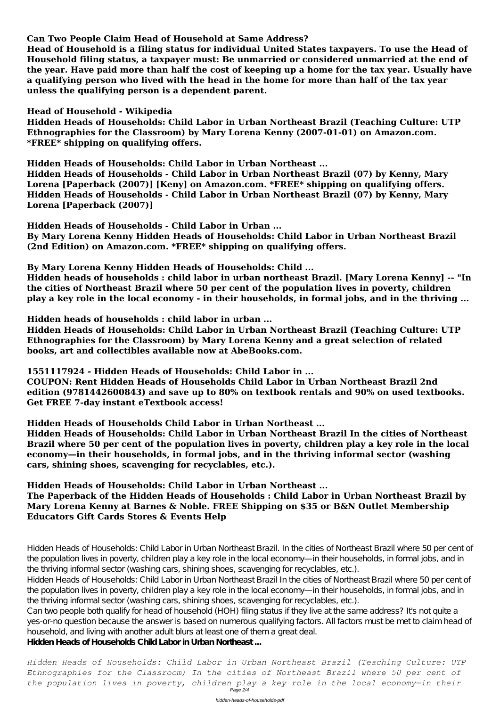**Can Two People Claim Head of Household at Same Address?**

**Head of Household is a filing status for individual United States taxpayers. To use the Head of Household filing status, a taxpayer must: Be unmarried or considered unmarried at the end of the year. Have paid more than half the cost of keeping up a home for the tax year. Usually have a qualifying person who lived with the head in the home for more than half of the tax year unless the qualifying person is a dependent parent.**

**Head of Household - Wikipedia**

**Hidden Heads of Households: Child Labor in Urban Northeast Brazil (Teaching Culture: UTP Ethnographies for the Classroom) by Mary Lorena Kenny (2007-01-01) on Amazon.com. \*FREE\* shipping on qualifying offers.**

**Hidden Heads of Households: Child Labor in Urban Northeast ...**

**Hidden Heads of Households - Child Labor in Urban Northeast Brazil (07) by Kenny, Mary Lorena [Paperback (2007)] [Keny] on Amazon.com. \*FREE\* shipping on qualifying offers. Hidden Heads of Households - Child Labor in Urban Northeast Brazil (07) by Kenny, Mary Lorena [Paperback (2007)]**

**Hidden Heads of Households - Child Labor in Urban ...**

**By Mary Lorena Kenny Hidden Heads of Households: Child Labor in Urban Northeast Brazil (2nd Edition) on Amazon.com. \*FREE\* shipping on qualifying offers.**

**By Mary Lorena Kenny Hidden Heads of Households: Child ...**

**Hidden heads of households : child labor in urban northeast Brazil. [Mary Lorena Kenny] -- "In the cities of Northeast Brazil where 50 per cent of the population lives in poverty, children play a key role in the local economy - in their households, in formal jobs, and in the thriving ...**

**Hidden heads of households : child labor in urban ...**

**Hidden Heads of Households: Child Labor in Urban Northeast Brazil (Teaching Culture: UTP Ethnographies for the Classroom) by Mary Lorena Kenny and a great selection of related books, art and collectibles available now at AbeBooks.com.**

**1551117924 - Hidden Heads of Households: Child Labor in ...**

**COUPON: Rent Hidden Heads of Households Child Labor in Urban Northeast Brazil 2nd edition (9781442600843) and save up to 80% on textbook rentals and 90% on used textbooks. Get FREE 7-day instant eTextbook access!**

**Hidden Heads of Households Child Labor in Urban Northeast ...**

**Hidden Heads of Households: Child Labor in Urban Northeast Brazil In the cities of Northeast Brazil where 50 per cent of the population lives in poverty, children play a key role in the local economy—in their households, in formal jobs, and in the thriving informal sector (washing cars, shining shoes, scavenging for recyclables, etc.).**

**Hidden Heads of Households: Child Labor in Urban Northeast ...**

**The Paperback of the Hidden Heads of Households : Child Labor in Urban Northeast Brazil by Mary Lorena Kenny at Barnes & Noble. FREE Shipping on \$35 or B&N Outlet Membership Educators Gift Cards Stores & Events Help**

Hidden Heads of Households: Child Labor in Urban Northeast Brazil. In the cities of Northeast Brazil where 50 per cent of the population lives in poverty, children play a key role in the local economy—in their households, in formal jobs, and in the thriving informal sector (washing cars, shining shoes, scavenging for recyclables, etc.). Hidden Heads of Households: Child Labor in Urban Northeast Brazil In the cities of Northeast Brazil where 50 per cent of the population lives in poverty, children play a key role in the local economy—in their households, in formal jobs, and in the thriving informal sector (washing cars, shining shoes, scavenging for recyclables, etc.). Can two people both qualify for head of household (HOH) filing status if they live at the same address? It's not quite a yes-or-no question because the answer is based on numerous qualifying factors. All factors must be met to claim head of household, and living with another adult blurs at least one of them a great deal. **Hidden Heads of Households Child Labor in Urban Northeast ...**

*Hidden Heads of Households: Child Labor in Urban Northeast Brazil (Teaching Culture: UTP Ethnographies for the Classroom) In the cities of Northeast Brazil where 50 per cent of the population lives in poverty, children play a key role in the local economy—in their* Page 2/4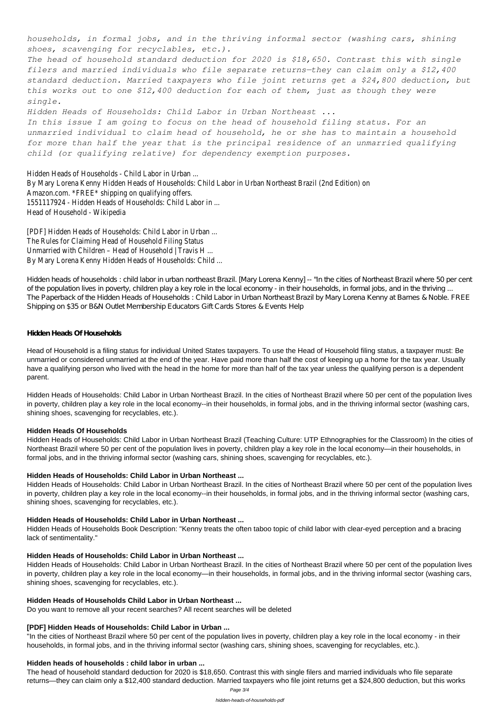*households, in formal jobs, and in the thriving informal sector (washing cars, shining shoes, scavenging for recyclables, etc.). The head of household standard deduction for 2020 is \$18,650. Contrast this with single filers and married individuals who file separate returns—they can claim only a \$12,400 standard deduction. Married taxpayers who file joint returns get a \$24,800 deduction, but this works out to one \$12,400 deduction for each of them, just as though they were single. Hidden Heads of Households: Child Labor in Urban Northeast ... In this issue I am going to focus on the head of household filing status. For an unmarried individual to claim head of household, he or she has to maintain a household for more than half the year that is the principal residence of an unmarried qualifying child (or qualifying relative) for dependency exemption purposes.*

Hidden heads of households : child labor in urban northeast Brazil. [Mary Lorena Kenny] -- "In the cities of Northeast Brazil where 50 per cent of the population lives in poverty, children play a key role in the local economy - in their households, in formal jobs, and in the thriving ... The Paperback of the Hidden Heads of Households : Child Labor in Urban Northeast Brazil by Mary Lorena Kenny at Barnes & Noble. FREE Shipping on \$35 or B&N Outlet Membership Educators Gift Cards Stores & Events Help

Hidden Heads of Households - Child Labor in Urban ... By Mary Lorena Kenny Hidden Heads of Households: Child Labor in Urban Northeast Brazil (2nd Edition) on Amazon.com. \*FREE\* shipping on qualifying offers. 1551117924 - Hidden Heads of Households: Child Labor in ... Head of Household - Wikipedia

[PDF] Hidden Heads of Households: Child Labor in Urban ... The Rules for Claiming Head of Household Filing Status Unmarried with Children – Head of Household | Travis H ... By Mary Lorena Kenny Hidden Heads of Households: Child ...

#### **Hidden Heads Of Households**

Head of Household is a filing status for individual United States taxpayers. To use the Head of Household filing status, a taxpayer must: Be unmarried or considered unmarried at the end of the year. Have paid more than half the cost of keeping up a home for the tax year. Usually have a qualifying person who lived with the head in the home for more than half of the tax year unless the qualifying person is a dependent parent.

Hidden Heads of Households: Child Labor in Urban Northeast Brazil. In the cities of Northeast Brazil where 50 per cent of the population lives in poverty, children play a key role in the local economy--in their households, in formal jobs, and in the thriving informal sector (washing cars, shining shoes, scavenging for recyclables, etc.).

#### **Hidden Heads Of Households**

Hidden Heads of Households: Child Labor in Urban Northeast Brazil (Teaching Culture: UTP Ethnographies for the Classroom) In the cities of Northeast Brazil where 50 per cent of the population lives in poverty, children play a key role in the local economy—in their households, in formal jobs, and in the thriving informal sector (washing cars, shining shoes, scavenging for recyclables, etc.).

#### **Hidden Heads of Households: Child Labor in Urban Northeast ...**

Hidden Heads of Households: Child Labor in Urban Northeast Brazil. In the cities of Northeast Brazil where 50 per cent of the population lives in poverty, children play a key role in the local economy--in their households, in formal jobs, and in the thriving informal sector (washing cars, shining shoes, scavenging for recyclables, etc.).

#### **Hidden Heads of Households: Child Labor in Urban Northeast ...**

Hidden Heads of Households Book Description: "Kenny treats the often taboo topic of child labor with clear-eyed perception and a bracing

lack of sentimentality."

#### **Hidden Heads of Households: Child Labor in Urban Northeast ...**

Hidden Heads of Households: Child Labor in Urban Northeast Brazil. In the cities of Northeast Brazil where 50 per cent of the population lives in poverty, children play a key role in the local economy—in their households, in formal jobs, and in the thriving informal sector (washing cars, shining shoes, scavenging for recyclables, etc.).

#### **Hidden Heads of Households Child Labor in Urban Northeast ...**

Do you want to remove all your recent searches? All recent searches will be deleted

### **[PDF] Hidden Heads of Households: Child Labor in Urban ...**

"In the cities of Northeast Brazil where 50 per cent of the population lives in poverty, children play a key role in the local economy - in their households, in formal jobs, and in the thriving informal sector (washing cars, shining shoes, scavenging for recyclables, etc.).

#### **Hidden heads of households : child labor in urban ...**

The head of household standard deduction for 2020 is \$18,650. Contrast this with single filers and married individuals who file separate returns—they can claim only a \$12,400 standard deduction. Married taxpayers who file joint returns get a \$24,800 deduction, but this works

Page 3/4

hidden-heads-of-households-pdf